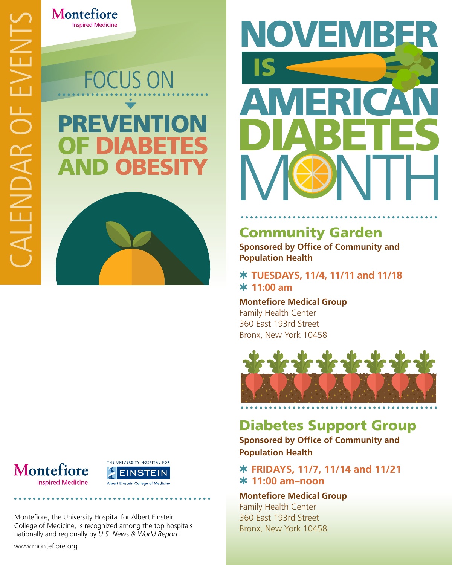FOCUS ON VENI OF DIABETES AND OBESITY

Montefiore

**Inspired Medicine** 



www.montefiore.org



Montefiore, the University Hospital for Albert Einstein College of Medicine, is recognized among the top hospitals nationally and regionally by *U.S. News & World Report.*



# Community Garden

**Sponsored by Office of Community and Population Health** 

Q **TUESDAYS, 11/4, 11/11 and 11/18**  Q **11:00 am** 

**Montefiore Medical Group** Family Health Center 360 East 193rd Street Bronx, New York 10458



# Diabetes Support Group

**Sponsored by Office of Community and Population Health**

Q **FRIDAYS, 11/7, 11/14 and 11/21** Q **11:00 am–noon** 

**Montefiore Medical Group** Family Health Center 360 East 193rd Street Bronx, New York 10458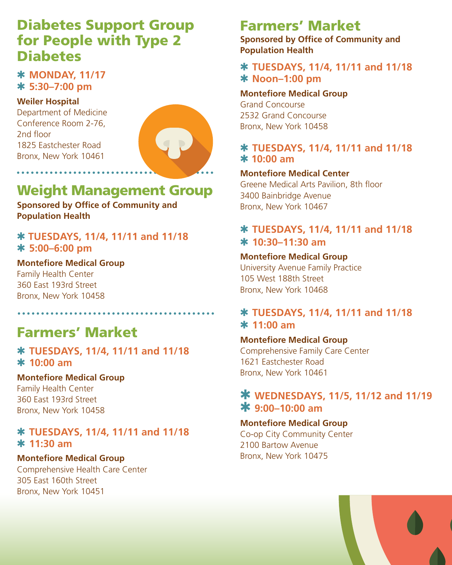# Diabetes Support Group for People with Type 2 **Diabetes**

## Q **MONDAY, 11/17** Q **5:30–7:00 pm**

#### **Weiler Hospital**

Department of Medicine Conference Room 2-76, 2nd floor 1825 Eastchester Road Bronx, New York 10461

. . . . . . . . . . . . . . . . . .



# Weight Management Group

**Sponsored by Office of Community and Population Health** 

#### Q **TUESDAYS, 11/4, 11/11 and 11/18** Q **5:00–6:00 pm**

**Montefiore Medical Group** Family Health Center 360 East 193rd Street Bronx, New York 10458

# Farmers' Market

#### Q **TUESDAYS, 11/4, 11/11 and 11/18**  Q **10:00 am**

#### **Montefiore Medical Group**

Family Health Center 360 East 193rd Street Bronx, New York 10458

## Q **TUESDAYS, 11/4, 11/11 and 11/18**  Q **11:30 am**

#### **Montefiore Medical Group**

Comprehensive Health Care Center 305 East 160th Street Bronx, New York 10451

#### l Farmers' Market

**Sponsored by Office of Community and Population Health** 

## Q **TUESDAYS, 11/4, 11/11 and 11/18**  Q **Noon–1:00 pm**

#### **Montefiore Medical Group**

Grand Concourse 2532 Grand Concourse Bronx, New York 10458

## Q **TUESDAYS, 11/4, 11/11 and 11/18**  Q **10:00 am**

#### **Montefiore Medical Center**

Greene Medical Arts Pavilion, 8th floor 3400 Bainbridge Avenue Bronx, New York 10467

## Q **TUESDAYS, 11/4, 11/11 and 11/18** Q **10:30–11:30 am**

#### **Montefiore Medical Group**

University Avenue Family Practice 105 West 188th Street Bronx, New York 10468

## Q **TUESDAYS, 11/4, 11/11 and 11/18**  Q **11:00 am**

#### **Montefiore Medical Group** Comprehensive Family Care Center 1621 Eastchester Road Bronx, New York 10461

## Q **WEDNESDAYS, 11/5, 11/12 and 11/19**  Q **9:00–10:00 am**

#### **Montefiore Medical Group**

Co-op City Community Center 2100 Bartow Avenue Bronx, New York 10475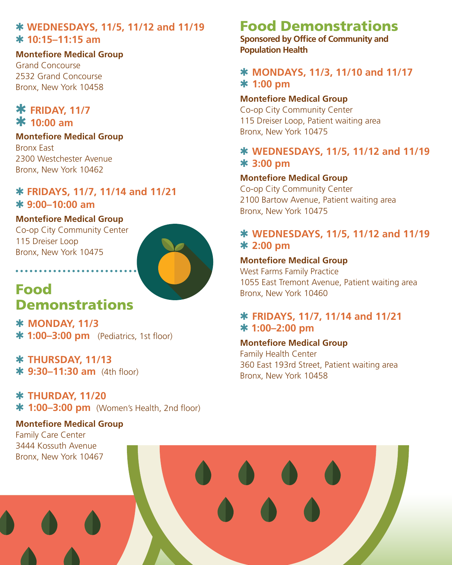## Q **WEDNESDAYS, 11/5, 11/12 and 11/19**  Q **10:15–11:15 am**

**Montefiore Medical Group** Grand Concourse 2532 Grand Concourse Bronx, New York 10458

## **\* FRIDAY, 11/7** Q **10:00 am**

**Montefiore Medical Group** Bronx East 2300 Westchester Avenue Bronx, New York 10462

## Q **FRIDAYS, 11/7, 11/14 and 11/21**  Q **9:00–10:00 am**

#### **Montefiore Medical Group**

Co-op City Community Center 115 Dreiser Loop Bronx, New York 10475

. . . . . . . . . . . . .



# Food **Demonstrations**

Q **MONDAY, 11/3**   $*1:00-3:00$  pm (Pediatrics, 1st floor)

Q **THURSDAY, 11/13**  Q **9:30–11:30 am** (4th floor)

Q **THURDAY, 11/20 \* 1:00–3:00 pm** (Women's Health, 2nd floor)

## **Montefiore Medical Group** Family Care Center

# Food Demonstrations

**Sponsored by Office of Community and Population Health** 

## Q **MONDAYS, 11/3, 11/10 and 11/17** Q **1:00 pm**

#### **Montefiore Medical Group**

Co-op City Community Center 115 Dreiser Loop, Patient waiting area Bronx, New York 10475

## Q **WEDNESDAYS, 11/5, 11/12 and 11/19**  Q **3:00 pm**

#### **Montefiore Medical Group**

Co-op City Community Center 2100 Bartow Avenue, Patient waiting area Bronx, New York 10475

## Q **WEDNESDAYS, 11/5, 11/12 and 11/19**  Q **2:00 pm**

## **Montefiore Medical Group**

West Farms Family Practice 1055 East Tremont Avenue, Patient waiting area Bronx, New York 10460

## Q **FRIDAYS, 11/7, 11/14 and 11/21**  Q **1:00–2:00 pm**

#### **Montefiore Medical Group**

Family Health Center 360 East 193rd Street, Patient waiting area Bronx, New York 10458

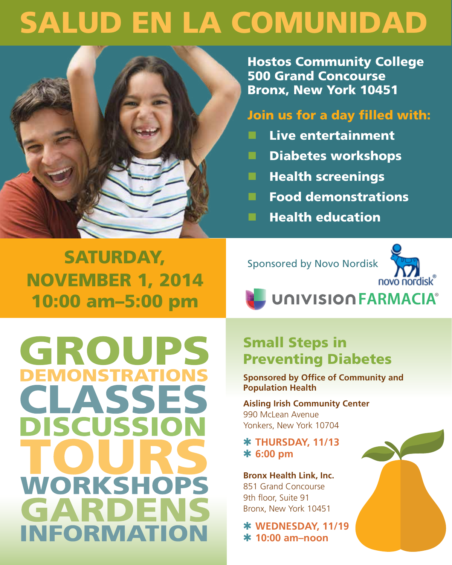# SALUD EN LA COMUNIDAD



Hostos Community College 500 Grand Concourse Bronx, New York 10451

## Join us for a day filled with:

- **n** Live entertainment
- **n** Diabetes workshops
- **N** Health screenings
- **n** Food demonstrations
- **N** Health education

SATURDAY, NOVEMBER 1, 2014 10:00 am–5:00 pm

Sponsored by Novo Nordisk



**UNIVISION FARMACIA®** 

GROUPS **DEMONSTRATIONS CLASSES DISCUSSI WORKSHO** GARDE **INFORMATION** 

# Small Steps in Preventing Diabetes

**Sponsored by Office of Community and Population Health** 

**Aisling Irish Community Center**  990 McLean Avenue Yonkers, New York 10704

Q **THURSDAY, 11/13**  Q **6:00 pm**

**Bronx Health Link, Inc.**  851 Grand Concourse 9th floor, Suite 91 Bronx, New York 10451

Q **WEDNESDAY, 11/19**  Q **10:00 am–noon**

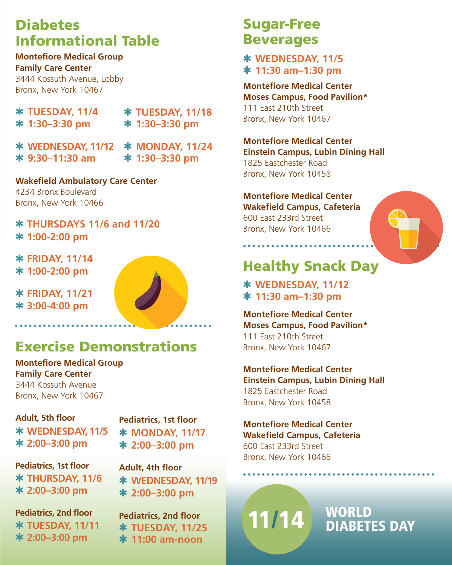# **Diabetes** Informational Table

**Montefiore Medical Group Family Care Center**  3444 Kossuth Avenue, Lobby Bronx, New York 10467

| <b>* TUESDAY, 11/4</b> |
|------------------------|
| * 1:30-3:30 pm         |

Q **TUESDAY, 11/18**  Q **1:30–3:30 pm**

Q **MONDAY, 11/24**  Q **1:30–3:30 pm** Q **WEDNESDAY, 11/12**  Q **9:30–11:30 am**

**Wakefield Ambulatory Care Center** 4234 Bronx Boulevard Bronx, New York 10466

## Q **THURSDAYS 11/6 and 11/20**  Q **1:00-2:00 pm**

Q **FRIDAY, 11/14**  Q **1:00-2:00 pm**

Q **FRIDAY, 11/21** Q **3:00-4:00 pm**



# Exercise Demonstrations

**Montefiore Medical Group Family Care Center**  3444 Kossuth Avenue Bronx, New York 10467

**Adult, 5th floor** Q **WEDNESDAY, 11/5**  Q **2:00–3:00 pm**

**Pediatrics, 1st floor** Q **MONDAY, 11/17**  Q **2:00–3:00 pm**

**Pediatrics, 1st floor** Q **THURSDAY, 11/6**  Q **2:00–3:00 pm**

**Adult, 4th floor** Q **WEDNESDAY, 11/19**  Q **2:00–3:00 pm**

**Pediatrics, 2nd floor** Q **TUESDAY, 11/11**  Q **2:00–3:00 pm**

**Pediatrics, 2nd floor** Q **TUESDAY, 11/25**  Q **11:00 am-noon**

# Sugar-Free Beverages

Q **WEDNESDAY, 11/5**  Q **11:30 am–1:30 pm**

**Montefiore Medical Center Moses Campus, Food Pavilion\*** 111 East 210th Street Bronx, New York 10467

**Montefiore Medical Center Einstein Campus, Lubin Dining Hall** 1825 Eastchester Road Bronx, New York 10458

## **Montefiore Medical Center**

**Wakefield Campus, Cafeteria** 600 East 233rd Street Bronx, New York 10466

. . . . . . . . . . . . .

# Healthy Snack Day

Q **WEDNESDAY, 11/12**  Q **11:30 am–1:30 pm** 

**Montefiore Medical Center Moses Campus, Food Pavilion\*** 111 East 210th Street Bronx, New York 10467

**Montefiore Medical Center Einstein Campus, Lubin Dining Hall** 1825 Eastchester Road Bronx, New York 10458

**Montefiore Medical Center Wakefield Campus, Cafeteria** 600 East 233rd Street Bronx, New York 10466

# $11/14$  WORLD DIABETES DAY